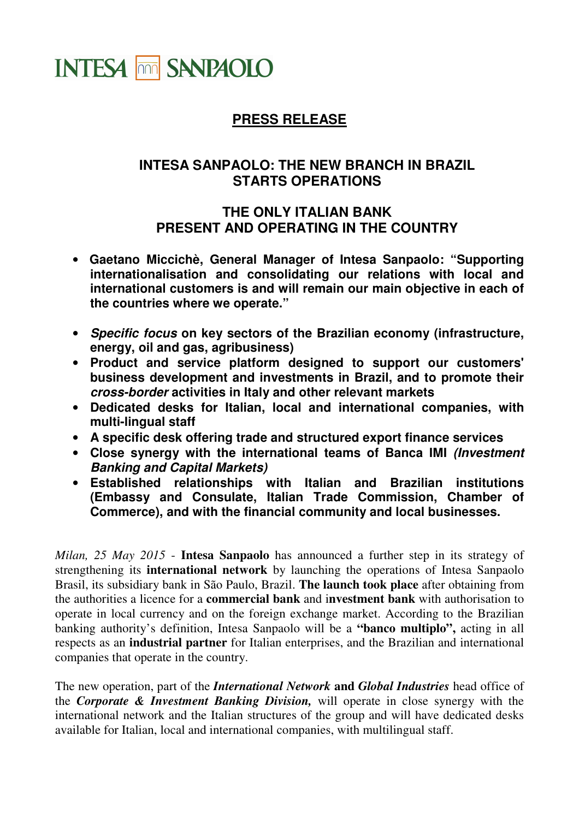

## **PRESS RELEASE**

## **INTESA SANPAOLO: THE NEW BRANCH IN BRAZIL STARTS OPERATIONS**

## **THE ONLY ITALIAN BANK PRESENT AND OPERATING IN THE COUNTRY**

- **Gaetano Miccichè, General Manager of Intesa Sanpaolo: "Supporting internationalisation and consolidating our relations with local and international customers is and will remain our main objective in each of the countries where we operate."**
- **Specific focus on key sectors of the Brazilian economy (infrastructure, energy, oil and gas, agribusiness)**
- **Product and service platform designed to support our customers' business development and investments in Brazil, and to promote their cross-border activities in Italy and other relevant markets**
- **Dedicated desks for Italian, local and international companies, with multi-lingual staff**
- **A specific desk offering trade and structured export finance services**
- **Close synergy with the international teams of Banca IMI (Investment Banking and Capital Markets)**
- **Established relationships with Italian and Brazilian institutions (Embassy and Consulate, Italian Trade Commission, Chamber of Commerce), and with the financial community and local businesses.**

*Milan, 25 May 2015* - **Intesa Sanpaolo** has announced a further step in its strategy of strengthening its **international network** by launching the operations of Intesa Sanpaolo Brasil, its subsidiary bank in São Paulo, Brazil. **The launch took place** after obtaining from the authorities a licence for a **commercial bank** and i**nvestment bank** with authorisation to operate in local currency and on the foreign exchange market. According to the Brazilian banking authority's definition, Intesa Sanpaolo will be a **"banco multiplo",** acting in all respects as an **industrial partner** for Italian enterprises, and the Brazilian and international companies that operate in the country.

The new operation, part of the *International Network* **and** *Global Industries* head office of the *Corporate & Investment Banking Division,* will operate in close synergy with the international network and the Italian structures of the group and will have dedicated desks available for Italian, local and international companies, with multilingual staff.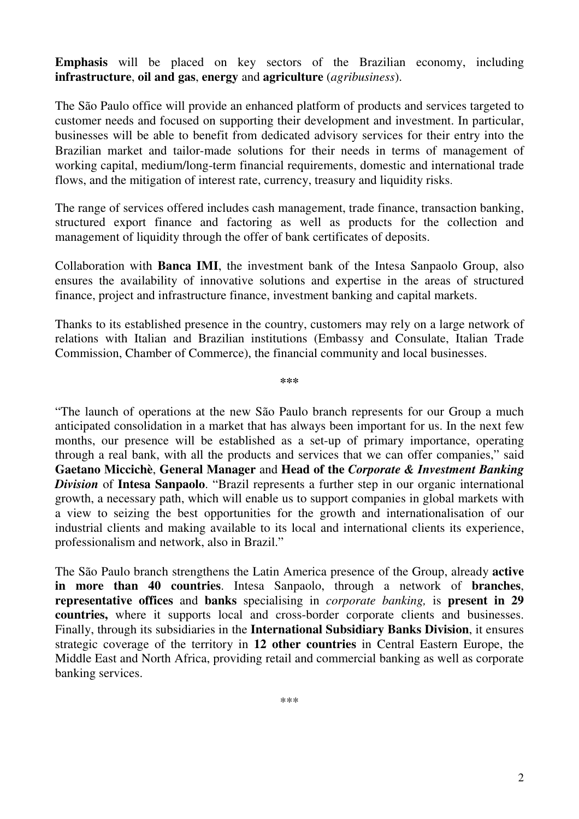**Emphasis** will be placed on key sectors of the Brazilian economy, including **infrastructure**, **oil and gas**, **energy** and **agriculture** (*agribusiness*).

The São Paulo office will provide an enhanced platform of products and services targeted to customer needs and focused on supporting their development and investment. In particular, businesses will be able to benefit from dedicated advisory services for their entry into the Brazilian market and tailor-made solutions for their needs in terms of management of working capital, medium/long-term financial requirements, domestic and international trade flows, and the mitigation of interest rate, currency, treasury and liquidity risks.

The range of services offered includes cash management, trade finance, transaction banking, structured export finance and factoring as well as products for the collection and management of liquidity through the offer of bank certificates of deposits.

Collaboration with **Banca IMI**, the investment bank of the Intesa Sanpaolo Group, also ensures the availability of innovative solutions and expertise in the areas of structured finance, project and infrastructure finance, investment banking and capital markets.

Thanks to its established presence in the country, customers may rely on a large network of relations with Italian and Brazilian institutions (Embassy and Consulate, Italian Trade Commission, Chamber of Commerce), the financial community and local businesses.

**\*\*\*** 

"The launch of operations at the new São Paulo branch represents for our Group a much anticipated consolidation in a market that has always been important for us. In the next few months, our presence will be established as a set-up of primary importance, operating through a real bank, with all the products and services that we can offer companies," said **Gaetano Miccichè**, **General Manager** and **Head of the** *Corporate & Investment Banking Division* of **Intesa Sanpaolo**. "Brazil represents a further step in our organic international growth, a necessary path, which will enable us to support companies in global markets with a view to seizing the best opportunities for the growth and internationalisation of our industrial clients and making available to its local and international clients its experience, professionalism and network, also in Brazil."

The São Paulo branch strengthens the Latin America presence of the Group, already **active in more than 40 countries**. Intesa Sanpaolo, through a network of **branches**, **representative offices** and **banks** specialising in *corporate banking,* is **present in 29 countries,** where it supports local and cross-border corporate clients and businesses. Finally, through its subsidiaries in the **International Subsidiary Banks Division**, it ensures strategic coverage of the territory in **12 other countries** in Central Eastern Europe, the Middle East and North Africa, providing retail and commercial banking as well as corporate banking services.

\*\*\*